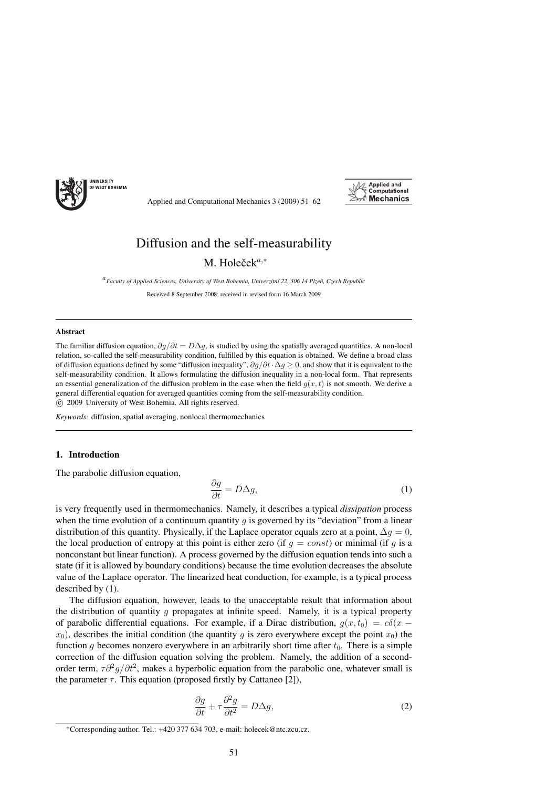

Applied and Computational Mechanics 3 (2009) 51–62



# Diffusion and the self-measurability M. Holeče $k^{a,*}$

<sup>a</sup>*Faculty of Applied Sciences, University of West Bohemia, Univerzitn´ı 22, 306 14 Plzeˇn, Czech Republic*

Received 8 September 2008; received in revised form 16 March 2009

## Abstract

The familiar diffusion equation,  $\partial q/\partial t = D\Delta q$ , is studied by using the spatially averaged quantities. A non-local relation, so-called the self-measurability condition, fulfilled by this equation is obtained. We define a broad class of diffusion equations defined by some "diffusion inequality",  $\frac{\partial q}{\partial t} \cdot \Delta q > 0$ , and show that it is equivalent to the self-measurability condition. It allows formulating the diffusion inequality in a non-local form. That represents an essential generalization of the diffusion problem in the case when the field  $q(x, t)$  is not smooth. We derive a general differential equation for averaged quantities coming from the self-measurability condition. c 2009 University of West Bohemia. All rights reserved.

*Keywords:* diffusion, spatial averaging, nonlocal thermomechanics

# 1. Introduction

The parabolic diffusion equation,

$$
\frac{\partial g}{\partial t} = D \Delta g,\tag{1}
$$

is very frequently used in thermomechanics. Namely, it describes a typical *dissipation* process when the time evolution of a continuum quantity g is governed by its "deviation" from a linear distribution of this quantity. Physically, if the Laplace operator equals zero at a point,  $\Delta q = 0$ , the local production of entropy at this point is either zero (if  $q = const$ ) or minimal (if q is a nonconstant but linear function). A process governed by the diffusion equation tends into such a state (if it is allowed by boundary conditions) because the time evolution decreases the absolute value of the Laplace operator. The linearized heat conduction, for example, is a typical process described by (1).

The diffusion equation, however, leads to the unacceptable result that information about the distribution of quantity g propagates at infinite speed. Namely, it is a typical property of parabolic differential equations. For example, if a Dirac distribution,  $g(x, t_0) = c\delta(x$  $x_0$ ), describes the initial condition (the quantity g is zero everywhere except the point  $x_0$ ) the function q becomes nonzero everywhere in an arbitrarily short time after  $t_0$ . There is a simple correction of the diffusion equation solving the problem. Namely, the addition of a secondorder term,  $\tau \partial^2 g/\partial t^2$ , makes a hyperbolic equation from the parabolic one, whatever small is the parameter  $\tau$ . This equation (proposed firstly by Cattaneo [2]),

$$
\frac{\partial g}{\partial t} + \tau \frac{\partial^2 g}{\partial t^2} = D \Delta g,\tag{2}
$$

<sup>∗</sup>Corresponding author. Tel.: +420 377 634 703, e-mail: holecek@ntc.zcu.cz.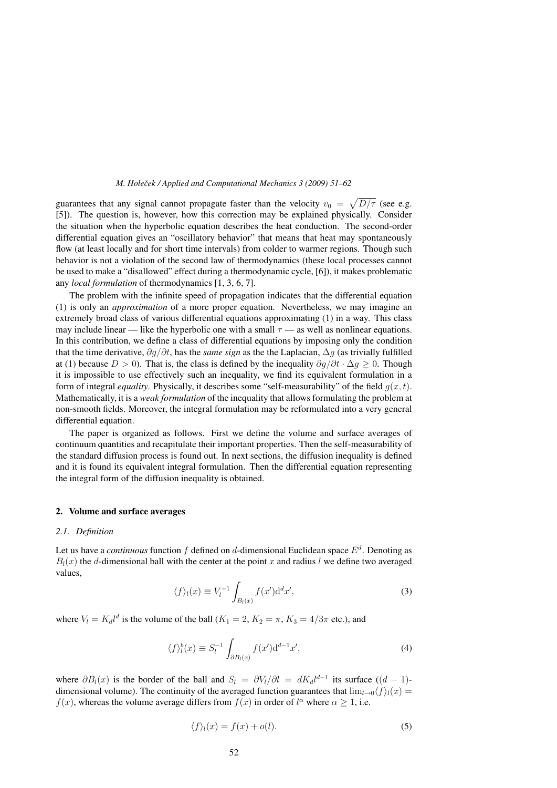guarantees that any signal cannot propagate faster than the velocity  $v_0 = \sqrt{D/\tau}$  (see e.g. [5]). The question is, however, how this correction may be explained physically. Consider the situation when the hyperbolic equation describes the heat conduction. The second-order differential equation gives an "oscillatory behavior" that means that heat may spontaneously flow (at least locally and for short time intervals) from colder to warmer regions. Though such behavior is not a violation of the second law of thermodynamics (these local processes cannot be used to make a "disallowed" effect during a thermodynamic cycle, [6]), it makes problematic any *local formulation* of thermodynamics [1, 3, 6, 7].

The problem with the infinite speed of propagation indicates that the differential equation (1) is only an *approximation* of a more proper equation. Nevertheless, we may imagine an extremely broad class of various differential equations approximating (1) in a way. This class may include linear — like the hyperbolic one with a small  $\tau$  — as well as nonlinear equations. In this contribution, we define a class of differential equations by imposing only the condition that the time derivative, ∂g/∂t, has the *same sign* as the the Laplacian, Δg (as trivially fulfilled at (1) because  $D > 0$ ). That is, the class is defined by the inequality  $\partial q/\partial t \cdot \Delta q > 0$ . Though it is impossible to use effectively such an inequality, we find its equivalent formulation in a form of integral *equality*. Physically, it describes some "self-measurability" of the field  $g(x, t)$ . Mathematically, it is a *weak formulation* of the inequality that allows formulating the problem at non-smooth fields. Moreover, the integral formulation may be reformulated into a very general differential equation.

The paper is organized as follows. First we define the volume and surface averages of continuum quantities and recapitulate their important properties. Then the self-measurability of the standard diffusion process is found out. In next sections, the diffusion inequality is defined and it is found its equivalent integral formulation. Then the differential equation representing the integral form of the diffusion inequality is obtained.

#### 2. Volume and surface averages

## *2.1. Definition*

Let us have a *continuous* function f defined on d-dimensional Euclidean space  $E^d$ . Denoting as  $B_l(x)$  the d-dimensional ball with the center at the point x and radius l we define two averaged values,

$$
\langle f \rangle_l(x) \equiv V_l^{-1} \int_{B_l(x)} f(x') \mathrm{d}^d x',\tag{3}
$$

where  $V_l = K_d l^d$  is the volume of the ball  $(K_1 = 2, K_2 = \pi, K_3 = 4/3\pi$  etc.), and

$$
\langle f \rangle_l^b(x) \equiv S_l^{-1} \int_{\partial B_l(x)} f(x') \mathrm{d}^{d-1} x', \tag{4}
$$

where  $\partial B_l(x)$  is the border of the ball and  $S_l = \partial V_l/\partial l = dK_d l^{d-1}$  its surface  $((d-1)$ dimensional volume). The continuity of the averaged function guarantees that  $\lim_{l\to 0} \langle f\rangle_l(x) =$  $f(x)$ , whereas the volume average differs from  $f(x)$  in order of  $l^{\alpha}$  where  $\alpha \geq 1$ , i.e.

$$
\langle f \rangle_l(x) = f(x) + o(l). \tag{5}
$$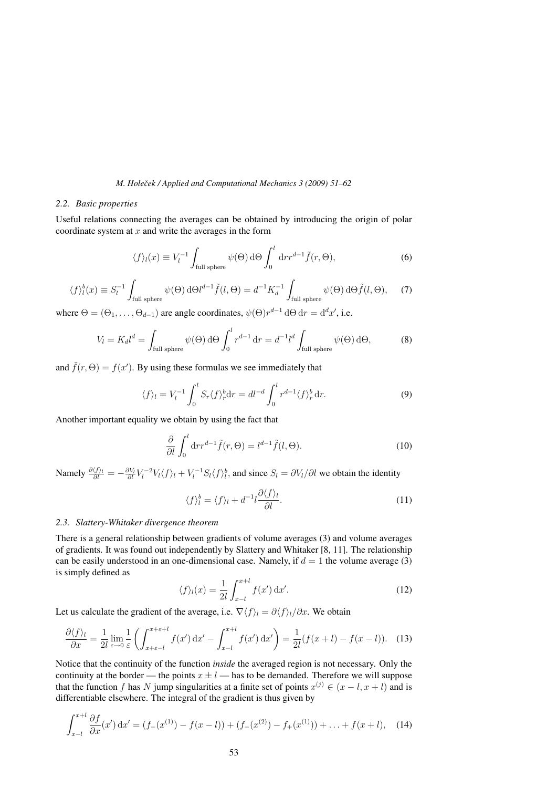## *2.2. Basic properties*

Useful relations connecting the averages can be obtained by introducing the origin of polar coordinate system at  $x$  and write the averages in the form

$$
\langle f \rangle_l(x) \equiv V_l^{-1} \int_{\text{full sphere}} \psi(\Theta) \,\mathrm{d}\Theta \int_0^l \mathrm{d}r r^{d-1} \tilde{f}(r, \Theta), \tag{6}
$$

$$
\langle f \rangle_l^b(x) \equiv S_l^{-1} \int_{\text{full sphere}} \psi(\Theta) \, d\Theta l^{d-1} \tilde{f}(l, \Theta) = d^{-1} K_d^{-1} \int_{\text{full sphere}} \psi(\Theta) \, d\Theta \tilde{f}(l, \Theta), \tag{7}
$$

where  $\Theta = (\Theta_1, \dots, \Theta_{d-1})$  are angle coordinates,  $\psi(\Theta)r^{d-1} d\Theta dr = d^d x'$ , i.e.

$$
V_l = K_d l^d = \int_{\text{full sphere}} \psi(\Theta) \,\mathrm{d}\Theta \int_0^l r^{d-1} \,\mathrm{d}r = d^{-1} l^d \int_{\text{full sphere}} \psi(\Theta) \,\mathrm{d}\Theta,\tag{8}
$$

and  $\tilde{f}(r, \Theta) = f(x')$ . By using these formulas we see immediately that

$$
\langle f \rangle_l = V_l^{-1} \int_0^l S_r \langle f \rangle_r^b \mathrm{d}r = dl^{-d} \int_0^l r^{d-1} \langle f \rangle_r^b \mathrm{d}r. \tag{9}
$$

Another important equality we obtain by using the fact that

$$
\frac{\partial}{\partial l} \int_0^l dr r^{d-1} \tilde{f}(r, \Theta) = l^{d-1} \tilde{f}(l, \Theta).
$$
 (10)

Namely  $\frac{\partial \langle f \rangle_l}{\partial l} = -\frac{\partial V_l}{\partial l} V_l^{-2} V_l \langle f \rangle_l + V_l^{-1} S_l \langle f \rangle_l^b$ , and since  $S_l = \partial V_l / \partial l$  we obtain the identity

$$
\langle f \rangle_l^b = \langle f \rangle_l + d^{-1} l \frac{\partial \langle f \rangle_l}{\partial l}.
$$
 (11)

#### *2.3. Slattery-Whitaker divergence theorem*

There is a general relationship between gradients of volume averages (3) and volume averages of gradients. It was found out independently by Slattery and Whitaker [8, 11]. The relationship can be easily understood in an one-dimensional case. Namely, if  $d = 1$  the volume average (3) is simply defined as

$$
\langle f \rangle_l(x) = \frac{1}{2l} \int_{x-l}^{x+l} f(x') \, \mathrm{d}x'.\tag{12}
$$

Let us calculate the gradient of the average, i.e.  $\nabla \langle f \rangle_i = \partial \langle f \rangle_i / \partial x$ . We obtain

$$
\frac{\partial \langle f \rangle_l}{\partial x} = \frac{1}{2l} \lim_{\varepsilon \to 0} \frac{1}{\varepsilon} \left( \int_{x+\varepsilon-l}^{x+\varepsilon+l} f(x') \, \mathrm{d}x' - \int_{x-l}^{x+l} f(x') \, \mathrm{d}x' \right) = \frac{1}{2l} (f(x+l) - f(x-l)). \tag{13}
$$

Notice that the continuity of the function *inside* the averaged region is not necessary. Only the continuity at the border — the points  $x \pm l$  — has to be demanded. Therefore we will suppose that the function f has N jump singularities at a finite set of points  $x^{(j)} \in (x - l, x + l)$  and is differentiable elsewhere. The integral of the gradient is thus given by

$$
\int_{x-l}^{x+l} \frac{\partial f}{\partial x}(x') dx' = (f_-(x^{(1)}) - f(x-l)) + (f_-(x^{(2)}) - f_+(x^{(1)})) + \ldots + f(x+l), \quad (14)
$$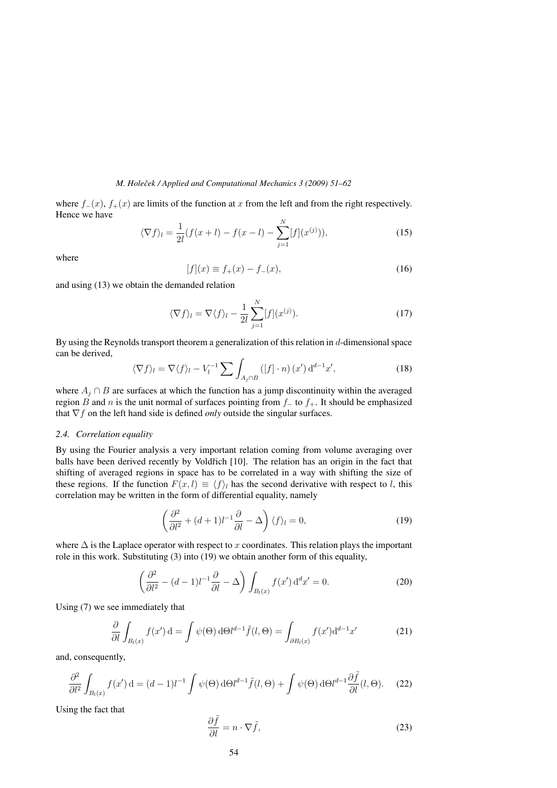where  $f_-(x)$ ,  $f_+(x)$  are limits of the function at x from the left and from the right respectively. Hence we have

$$
\langle \nabla f \rangle_l = \frac{1}{2l} (f(x+l) - f(x-l) - \sum_{j=1}^N [f](x^{(j)})),\tag{15}
$$

where

$$
[f](x) \equiv f_{+}(x) - f_{-}(x), \tag{16}
$$

and using (13) we obtain the demanded relation

$$
\langle \nabla f \rangle_l = \nabla \langle f \rangle_l - \frac{1}{2l} \sum_{j=1}^N [f](x^{(j)}).
$$
 (17)

By using the Reynolds transport theorem a generalization of this relation in d-dimensional space can be derived,

$$
\langle \nabla f \rangle_l = \nabla \langle f \rangle_l - V_l^{-1} \sum \int_{A_j \cap B} \left( [f] \cdot n \right) (x') \, \mathrm{d}^{d-1} x',\tag{18}
$$

where  $A_i \cap B$  are surfaces at which the function has a jump discontinuity within the averaged region B and n is the unit normal of surfaces pointing from  $f_+$  to  $f_+$ . It should be emphasized that  $\nabla f$  on the left hand side is defined *only* outside the singular surfaces.

## *2.4. Correlation equality*

By using the Fourier analysis a very important relation coming from volume averaging over balls have been derived recently by Voldřich [10]. The relation has an origin in the fact that shifting of averaged regions in space has to be correlated in a way with shifting the size of these regions. If the function  $F(x, l) \equiv \langle f \rangle_l$  has the second derivative with respect to l, this correlation may be written in the form of differential equality, namely

$$
\left(\frac{\partial^2}{\partial l^2} + (d+1)l^{-1}\frac{\partial}{\partial l} - \Delta\right)\langle f \rangle_l = 0, \tag{19}
$$

where  $\Delta$  is the Laplace operator with respect to x coordinates. This relation plays the important role in this work. Substituting (3) into (19) we obtain another form of this equality,

$$
\left(\frac{\partial^2}{\partial l^2} - (d-1)l^{-1}\frac{\partial}{\partial l} - \Delta\right) \int_{B_l(x)} f(x') \, \mathrm{d}^d x' = 0. \tag{20}
$$

Using (7) we see immediately that

$$
\frac{\partial}{\partial l} \int_{B_l(x)} f(x') \, \mathrm{d} = \int \psi(\Theta) \, \mathrm{d}\Theta l^{d-1} \tilde{f}(l, \Theta) = \int_{\partial B_l(x)} f(x') \mathrm{d}^{d-1} x' \tag{21}
$$

and, consequently,

$$
\frac{\partial^2}{\partial l^2} \int_{B_l(x)} f(x') \, \mathrm{d} = (d-1)l^{-1} \int \psi(\Theta) \, \mathrm{d}\Theta l^{d-1} \tilde{f}(l, \Theta) + \int \psi(\Theta) \, \mathrm{d}\Theta l^{d-1} \frac{\partial \tilde{f}}{\partial l}(l, \Theta). \tag{22}
$$

Using the fact that

$$
\frac{\partial \hat{f}}{\partial l} = n \cdot \nabla \tilde{f},\tag{23}
$$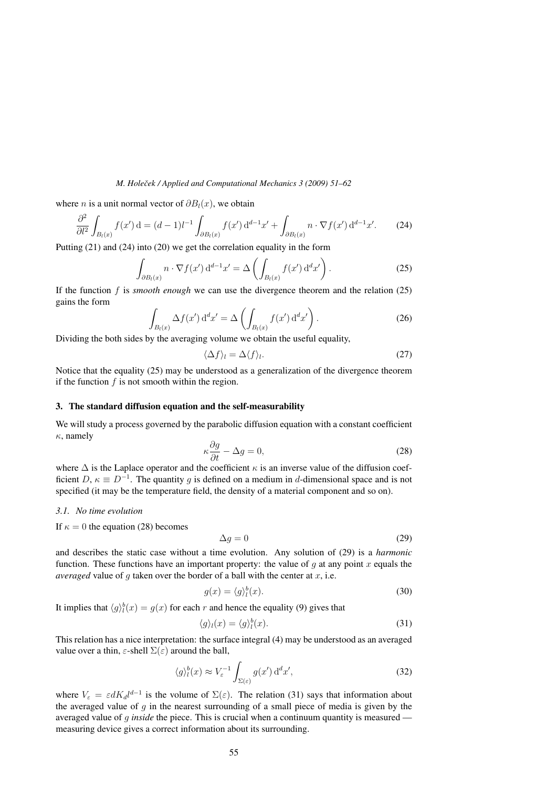where *n* is a unit normal vector of  $\partial B_l(x)$ , we obtain

$$
\frac{\partial^2}{\partial l^2} \int_{B_l(x)} f(x') \, \mathrm{d} = (d-1)l^{-1} \int_{\partial B_l(x)} f(x') \, \mathrm{d}^{d-1} x' + \int_{\partial B_l(x)} n \cdot \nabla f(x') \, \mathrm{d}^{d-1} x'. \tag{24}
$$

Putting (21) and (24) into (20) we get the correlation equality in the form

$$
\int_{\partial B_l(x)} n \cdot \nabla f(x') d^{d-1} x' = \Delta \left( \int_{B_l(x)} f(x') d^d x' \right).
$$
\n(25)

If the function f is *smooth enough* we can use the divergence theorem and the relation (25) gains the form

$$
\int_{B_l(x)} \Delta f(x') d^d x' = \Delta \left( \int_{B_l(x)} f(x') d^d x' \right).
$$
\n(26)

Dividing the both sides by the averaging volume we obtain the useful equality,

$$
\langle \Delta f \rangle_l = \Delta \langle f \rangle_l. \tag{27}
$$

Notice that the equality (25) may be understood as a generalization of the divergence theorem if the function  $f$  is not smooth within the region.

## 3. The standard diffusion equation and the self-measurability

We will study a process governed by the parabolic diffusion equation with a constant coefficient  $\kappa$ , namely

$$
\kappa \frac{\partial g}{\partial t} - \Delta g = 0,\tag{28}
$$

where  $\Delta$  is the Laplace operator and the coefficient  $\kappa$  is an inverse value of the diffusion coefficient  $D, \kappa \equiv D^{-1}$ . The quantity q is defined on a medium in d-dimensional space and is not specified (it may be the temperature field, the density of a material component and so on).

# *3.1. No time evolution*

If  $\kappa = 0$  the equation (28) becomes

$$
\Delta g = 0 \tag{29}
$$

and describes the static case without a time evolution. Any solution of (29) is a *harmonic* function. These functions have an important property: the value of  $q$  at any point  $x$  equals the *averaged* value of q taken over the border of a ball with the center at  $x$ , i.e.

$$
g(x) = \langle g \rangle_l^b(x). \tag{30}
$$

It implies that  $\langle g \rangle_l^b(x) = g(x)$  for each r and hence the equality (9) gives that

$$
\langle g \rangle_l(x) = \langle g \rangle_l^b(x). \tag{31}
$$

This relation has a nice interpretation: the surface integral (4) may be understood as an averaged value over a thin,  $\varepsilon$ -shell  $\Sigma(\varepsilon)$  around the ball,

$$
\langle g \rangle_l^b(x) \approx V_{\varepsilon}^{-1} \int_{\Sigma(\varepsilon)} g(x') \, \mathrm{d}^d x', \tag{32}
$$

where  $V_{\varepsilon} = \varepsilon dK_d l^{d-1}$  is the volume of  $\Sigma(\varepsilon)$ . The relation (31) says that information about the averaged value of  $g$  in the nearest surrounding of a small piece of media is given by the averaged value of g *inside* the piece. This is crucial when a continuum quantity is measured measuring device gives a correct information about its surrounding.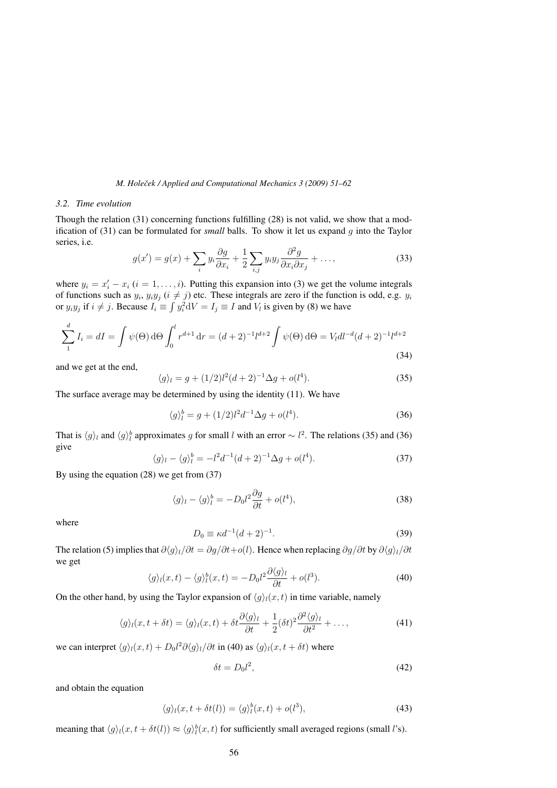# *3.2. Time evolution*

Though the relation (31) concerning functions fulfilling (28) is not valid, we show that a modification of (31) can be formulated for *small* balls. To show it let us expand g into the Taylor series, i.e.

$$
g(x') = g(x) + \sum_{i} y_i \frac{\partial g}{\partial x_i} + \frac{1}{2} \sum_{i,j} y_i y_j \frac{\partial^2 g}{\partial x_i \partial x_j} + \dots,
$$
 (33)

where  $y_i = x'_i - x_i$   $(i = 1, ..., i)$ . Putting this expansion into (3) we get the volume integrals of functions such as  $y_i$ ,  $y_i y_j$  ( $i \neq j$ ) etc. These integrals are zero if the function is odd, e.g.  $y_i$ or  $y_i y_j$  if  $i \neq j$ . Because  $I_i \equiv \int y_i^2 dV = I_j \equiv I$  and  $V_i$  is given by (8) we have

$$
\sum_{1}^{d} I_{i} = dI = \int \psi(\Theta) d\Theta \int_{0}^{l} r^{d+1} dr = (d+2)^{-1} l^{d+2} \int \psi(\Theta) d\Theta = V_{l} d l^{-d} (d+2)^{-1} l^{d+2}
$$
\n(34)

and we get at the end,

$$
\langle g \rangle_l = g + (1/2)l^2(d+2)^{-1}\Delta g + o(l^4). \tag{35}
$$

The surface average may be determined by using the identity (11). We have

$$
\langle g \rangle_l^b = g + (1/2)l^2 d^{-1} \Delta g + o(l^4). \tag{36}
$$

That is  $\langle g \rangle_l$  and  $\langle g \rangle_l^b$  approximates g for small l with an error  $\sim l^2$ . The relations (35) and (36) give

$$
\langle g \rangle_l - \langle g \rangle_l^b = -l^2 d^{-1} (d+2)^{-1} \Delta g + o(l^4). \tag{37}
$$

By using the equation (28) we get from (37)

$$
\langle g \rangle_l - \langle g \rangle_l^b = -D_0 l^2 \frac{\partial g}{\partial t} + o(l^4), \tag{38}
$$

where

$$
D_0 \equiv \kappa d^{-1} (d+2)^{-1}.
$$
 (39)

The relation (5) implies that  $\frac{\partial \langle q \rangle_l}{\partial t} = \frac{\partial q}{\partial t} + o(l)$ . Hence when replacing  $\frac{\partial q}{\partial t}$  by  $\frac{\partial \langle q \rangle_l}{\partial t}$ we get

$$
\langle g \rangle_l(x,t) - \langle g \rangle_l^b(x,t) = -D_0 l^2 \frac{\partial \langle g \rangle_l}{\partial t} + o(l^3). \tag{40}
$$

On the other hand, by using the Taylor expansion of  $\langle g \rangle_l(x, t)$  in time variable, namely

$$
\langle g \rangle_l(x, t + \delta t) = \langle g \rangle_l(x, t) + \delta t \frac{\partial \langle g \rangle_l}{\partial t} + \frac{1}{2} (\delta t)^2 \frac{\partial^2 \langle g \rangle_l}{\partial t^2} + \dots,
$$
\n(41)

we can interpret  $\langle g \rangle_l(x,t) + D_0 l^2 \partial \langle g \rangle_l / \partial t$  in (40) as  $\langle g \rangle_l(x,t + \delta t)$  where

$$
\delta t = D_0 l^2,\tag{42}
$$

and obtain the equation

$$
\langle g \rangle_l(x, t + \delta t(l)) = \langle g \rangle_l^b(x, t) + o(l^3), \tag{43}
$$

meaning that  $\langle g \rangle_l(x, t + \delta t(l)) \approx \langle g \rangle_l^b(x, t)$  for sufficiently small averaged regions (small *l*'s).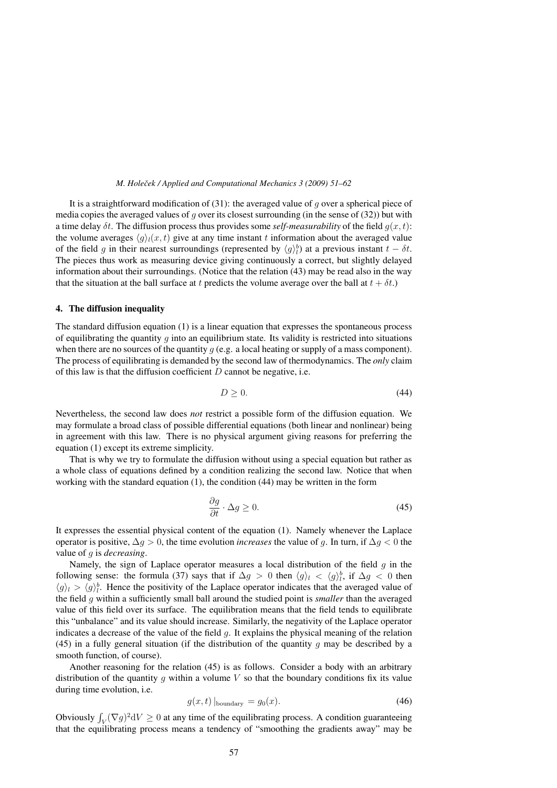It is a straightforward modification of  $(31)$ : the averaged value of g over a spherical piece of media copies the averaged values of q over its closest surrounding (in the sense of  $(32)$ ) but with a time delay  $\delta t$ . The diffusion process thus provides some *self-measurability* of the field  $q(x, t)$ : the volume averages  $\langle q \rangle_l(x, t)$  give at any time instant t information about the averaged value of the field g in their nearest surroundings (represented by  $\langle g \rangle_l^b$ ) at a previous instant  $t - \delta t$ . The pieces thus work as measuring device giving continuously a correct, but slightly delayed information about their surroundings. (Notice that the relation (43) may be read also in the way that the situation at the ball surface at t predicts the volume average over the ball at  $t + \delta t$ .

#### 4. The diffusion inequality

The standard diffusion equation (1) is a linear equation that expresses the spontaneous process of equilibrating the quantity q into an equilibrium state. Its validity is restricted into situations when there are no sources of the quantity  $q$  (e.g. a local heating or supply of a mass component). The process of equilibrating is demanded by the second law of thermodynamics. The *only* claim of this law is that the diffusion coefficient  $D$  cannot be negative, i.e.

$$
D \ge 0. \tag{44}
$$

Nevertheless, the second law does *not* restrict a possible form of the diffusion equation. We may formulate a broad class of possible differential equations (both linear and nonlinear) being in agreement with this law. There is no physical argument giving reasons for preferring the equation (1) except its extreme simplicity.

That is why we try to formulate the diffusion without using a special equation but rather as a whole class of equations defined by a condition realizing the second law. Notice that when working with the standard equation (1), the condition (44) may be written in the form

$$
\frac{\partial g}{\partial t} \cdot \Delta g \ge 0. \tag{45}
$$

It expresses the essential physical content of the equation (1). Namely whenever the Laplace operator is positive,  $\Delta q > 0$ , the time evolution *increases* the value of q. In turn, if  $\Delta q < 0$  the value of g is *decreasing*.

Namely, the sign of Laplace operator measures a local distribution of the field  $q$  in the following sense: the formula (37) says that if  $\Delta g > 0$  then  $\langle g \rangle_l < \langle g \rangle_l^b$ , if  $\Delta g < 0$  then  $\langle g \rangle_l > \langle g \rangle_l^b$ . Hence the positivity of the Laplace operator indicates that the averaged value of the field g within a sufficiently small ball around the studied point is *smaller* than the averaged value of this field over its surface. The equilibration means that the field tends to equilibrate this "unbalance" and its value should increase. Similarly, the negativity of the Laplace operator indicates a decrease of the value of the field  $q$ . It explains the physical meaning of the relation (45) in a fully general situation (if the distribution of the quantity  $q$  may be described by a smooth function, of course).

Another reasoning for the relation (45) is as follows. Consider a body with an arbitrary distribution of the quantity g within a volume  $V$  so that the boundary conditions fix its value during time evolution, i.e.

$$
g(x,t) \vert_{\text{boundary}} = g_0(x). \tag{46}
$$

Obviously  $\int_V (\nabla g)^2 dV \ge 0$  at any time of the equilibrating process. A condition guaranteeing that the equilibrating process means a tendency of "smoothing the gradients away" may be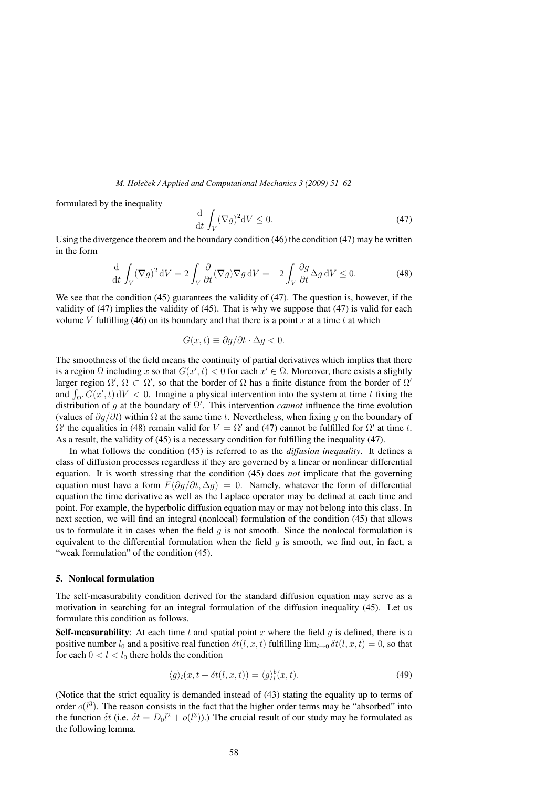formulated by the inequality

$$
\frac{\mathrm{d}}{\mathrm{d}t} \int_{V} (\nabla g)^2 \mathrm{d}V \le 0. \tag{47}
$$

Using the divergence theorem and the boundary condition (46) the condition (47) may be written in the form

$$
\frac{\mathrm{d}}{\mathrm{d}t} \int_{V} (\nabla g)^2 \, \mathrm{d}V = 2 \int_{V} \frac{\partial}{\partial t} (\nabla g) \nabla g \, \mathrm{d}V = -2 \int_{V} \frac{\partial g}{\partial t} \Delta g \, \mathrm{d}V \le 0. \tag{48}
$$

We see that the condition (45) guarantees the validity of (47). The question is, however, if the validity of (47) implies the validity of (45). That is why we suppose that (47) is valid for each volume V fulfilling (46) on its boundary and that there is a point x at a time t at which

$$
G(x,t) \equiv \partial g/\partial t \cdot \Delta g < 0.
$$

The smoothness of the field means the continuity of partial derivatives which implies that there is a region  $\Omega$  including x so that  $G(x', t) < 0$  for each  $x' \in \Omega$ . Moreover, there exists a slightly larger region  $\Omega'$ ,  $\Omega \subset \Omega'$ , so that the border of  $\Omega$  has a finite distance from the border of  $\Omega'$ and  $\int_{\Omega'} G(x',t) dV < 0$ . Imagine a physical intervention into the system at time t fixing the distribution of g at the boundary of  $\Omega'$ . This intervention *cannot* influence the time evolution distribution of g at the boundary of  $\Omega'$ . (values of  $\partial q/\partial t$ ) within  $\Omega$  at the same time t. Nevertheless, when fixing q on the boundary of  $\Omega'$  the equalities in (48) remain valid for  $V = \Omega'$  and (47) cannot be fulfilled for  $\Omega'$  at time t. As a result, the validity of (45) is a necessary condition for fulfilling the inequality (47).

In what follows the condition (45) is referred to as the *diffusion inequality*. It defines a class of diffusion processes regardless if they are governed by a linear or nonlinear differential equation. It is worth stressing that the condition (45) does *not* implicate that the governing equation must have a form  $F(\partial q/\partial t, \Delta q) = 0$ . Namely, whatever the form of differential equation the time derivative as well as the Laplace operator may be defined at each time and point. For example, the hyperbolic diffusion equation may or may not belong into this class. In next section, we will find an integral (nonlocal) formulation of the condition (45) that allows us to formulate it in cases when the field  $q$  is not smooth. Since the nonlocal formulation is equivalent to the differential formulation when the field  $q$  is smooth, we find out, in fact, a "weak formulation" of the condition  $(45)$ .

## 5. Nonlocal formulation

The self-measurability condition derived for the standard diffusion equation may serve as a motivation in searching for an integral formulation of the diffusion inequality (45). Let us formulate this condition as follows.

**Self-measurability**: At each time t and spatial point x where the field q is defined, there is a positive number  $l_0$  and a positive real function  $\delta t(l, x, t)$  fulfilling  $\lim_{l\to 0} \delta t(l, x, t)=0$ , so that for each  $0 < l < l_0$  there holds the condition

$$
\langle g \rangle_l(x, t + \delta t(l, x, t)) = \langle g \rangle_l^b(x, t). \tag{49}
$$

(Notice that the strict equality is demanded instead of (43) stating the equality up to terms of order  $o(l^3)$ . The reason consists in the fact that the higher order terms may be "absorbed" into the function  $\delta t$  (i.e.  $\delta t = D_0 l^2 + o(l^3)$ ).) The crucial result of our study may be formulated as the following lemma.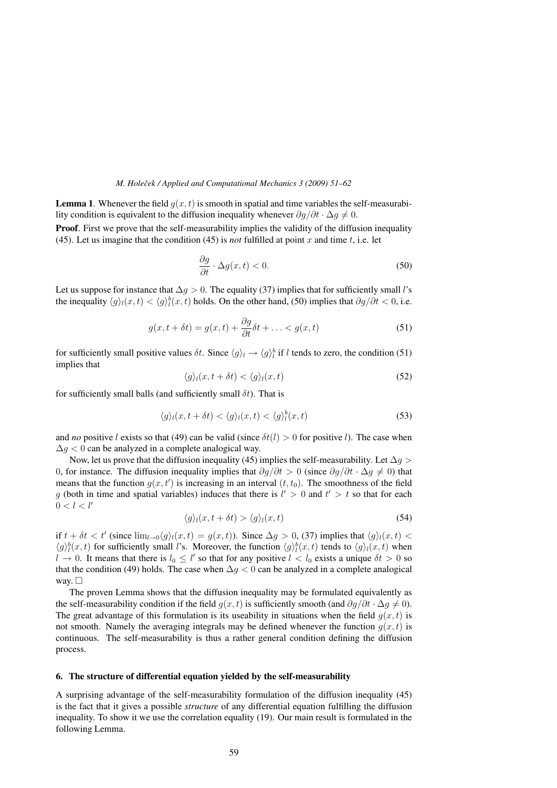**Lemma 1.** Whenever the field  $q(x, t)$  is smooth in spatial and time variables the self-measurability condition is equivalent to the diffusion inequality whenever  $\partial q/\partial t \cdot \Delta q \neq 0$ .

**Proof.** First we prove that the self-measurability implies the validity of the diffusion inequality (45). Let us imagine that the condition (45) is *not* fulfilled at point x and time t, i.e. let

$$
\frac{\partial g}{\partial t} \cdot \Delta g(x, t) < 0. \tag{50}
$$

Let us suppose for instance that  $\Delta q > 0$ . The equality (37) implies that for sufficiently small l's the inequality  $\langle g \rangle_l(x,t) < \langle g \rangle_l^b(x,t)$  holds. On the other hand, (50) implies that  $\partial g/\partial t < 0$ , i.e.

$$
g(x, t + \delta t) = g(x, t) + \frac{\partial g}{\partial t} \delta t + \dots < g(x, t) \tag{51}
$$

for sufficiently small positive values  $\delta t$ . Since  $\langle g \rangle_l \to \langle g \rangle_l^b$  if l tends to zero, the condition (51) implies that

$$
\langle g \rangle_l(x, t + \delta t) < \langle g \rangle_l(x, t) \tag{52}
$$

for sufficiently small balls (and sufficiently small  $\delta t$ ). That is

$$
\langle g \rangle_t(x, t + \delta t) < \langle g \rangle_t(x, t) < \langle g \rangle_t^b(x, t) \tag{53}
$$

and *no* positive l exists so that (49) can be valid (since  $\delta t(l) > 0$  for positive l). The case when  $\Delta q$  < 0 can be analyzed in a complete analogical way.

Now, let us prove that the diffusion inequality (45) implies the self-measurability. Let  $\Delta q >$ 0, for instance. The diffusion inequality implies that  $\partial g/\partial t > 0$  (since  $\partial g/\partial t \cdot \Delta g \neq 0$ ) that means that the function  $g(x, t')$  is increasing in an interval  $(t, t_0)$ . The smoothness of the field g (both in time and spatial variables) induces that there is  $l' > 0$  and  $t' > t$  so that for each  $0 < l < l'$ 

$$
\langle g \rangle_l(x, t + \delta t) > \langle g \rangle_l(x, t) \tag{54}
$$

if  $t + \delta t < t'$  (since  $\lim_{t \to 0} \langle q \rangle_i(x, t) = q(x, t)$ ). Since  $\Delta q > 0$ , (37) implies that  $\langle q \rangle_i(x, t) <$  $\langle g \rangle_l^b(x,t)$  for sufficiently small l's. Moreover, the function  $\langle g \rangle_l^b(x,t)$  tends to  $\langle g \rangle_l(x,t)$  when  $l \to 0$ . It means that there is  $l_0 \leq l'$  so that for any positive  $l < l_0$  exists a unique  $\delta t > 0$  so that the condition (49) holds. The case when  $\Delta g < 0$  can be analyzed in a complete analogical way.  $\Box$ 

The proven Lemma shows that the diffusion inequality may be formulated equivalently as the self-measurability condition if the field  $g(x, t)$  is sufficiently smooth (and  $\partial g/\partial t \cdot \Delta g \neq 0$ ). The great advantage of this formulation is its useability in situations when the field  $q(x, t)$  is not smooth. Namely the averaging integrals may be defined whenever the function  $q(x, t)$  is continuous. The self-measurability is thus a rather general condition defining the diffusion process.

## 6. The structure of differential equation yielded by the self-measurability

A surprising advantage of the self-measurability formulation of the diffusion inequality (45) is the fact that it gives a possible *structure* of any differential equation fulfilling the diffusion inequality. To show it we use the correlation equality (19). Our main result is formulated in the following Lemma.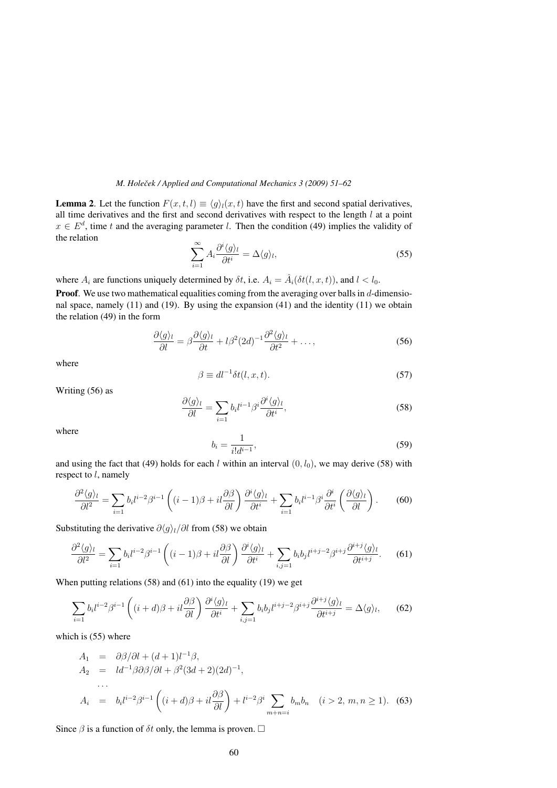**Lemma 2.** Let the function  $F(x, t, l) \equiv \langle q \rangle_l(x, t)$  have the first and second spatial derivatives, all time derivatives and the first and second derivatives with respect to the length  $l$  at a point  $x \in E^d$ , time t and the averaging parameter l. Then the condition (49) implies the validity of the relation

$$
\sum_{i=1}^{\infty} A_i \frac{\partial^i \langle g \rangle_l}{\partial t^i} = \Delta \langle g \rangle_l,
$$
\n(55)

where  $A_i$  are functions uniquely determined by  $\delta t$ , i.e.  $A_i = \hat{A}_i(\delta t(l, x, t))$ , and  $l < l_0$ .

**Proof.** We use two mathematical equalities coming from the averaging over balls in  $d$ -dimensional space, namely  $(11)$  and  $(19)$ . By using the expansion  $(41)$  and the identity  $(11)$  we obtain the relation (49) in the form

$$
\frac{\partial \langle g \rangle_l}{\partial l} = \beta \frac{\partial \langle g \rangle_l}{\partial t} + l \beta^2 (2d)^{-1} \frac{\partial^2 \langle g \rangle_l}{\partial t^2} + \dots,
$$
\n(56)

where

$$
\beta \equiv dl^{-1} \delta t(l, x, t). \tag{57}
$$

Writing (56) as

$$
\frac{\partial \langle g \rangle_l}{\partial l} = \sum_{i=1} b_i l^{i-1} \beta^i \frac{\partial^i \langle g \rangle_l}{\partial t^i},\tag{58}
$$

where

$$
b_i = \frac{1}{i!d^{i-1}},\tag{59}
$$

and using the fact that (49) holds for each l within an interval  $(0, l_0)$ , we may derive (58) with respect to  $l$ , namely

$$
\frac{\partial^2 \langle g \rangle_l}{\partial l^2} = \sum_{i=1} b_i l^{i-2} \beta^{i-1} \left( (i-1)\beta + il \frac{\partial \beta}{\partial l} \right) \frac{\partial^i \langle g \rangle_l}{\partial t^i} + \sum_{i=1} b_i l^{i-1} \beta^i \frac{\partial^i}{\partial t^i} \left( \frac{\partial \langle g \rangle_l}{\partial l} \right). \tag{60}
$$

Substituting the derivative  $\partial \langle q \rangle_l / \partial l$  from (58) we obtain

$$
\frac{\partial^2 \langle g \rangle_l}{\partial l^2} = \sum_{i=1} b_i l^{i-2} \beta^{i-1} \left( (i-1)\beta + il \frac{\partial \beta}{\partial l} \right) \frac{\partial^i \langle g \rangle_l}{\partial t^i} + \sum_{i,j=1} b_i b_j l^{i+j-2} \beta^{i+j} \frac{\partial^{i+j} \langle g \rangle_l}{\partial t^{i+j}}.
$$
(61)

When putting relations (58) and (61) into the equality (19) we get

$$
\sum_{i=1} b_i l^{i-2} \beta^{i-1} \left( (i+d)\beta + il \frac{\partial \beta}{\partial l} \right) \frac{\partial^i \langle g \rangle_l}{\partial t^i} + \sum_{i,j=1} b_i b_j l^{i+j-2} \beta^{i+j} \frac{\partial^{i+j} \langle g \rangle_l}{\partial t^{i+j}} = \Delta \langle g \rangle_l, \tag{62}
$$

which is  $(55)$  where

$$
A_1 = \partial \beta / \partial l + (d+1)l^{-1} \beta,
$$
  
\n
$$
A_2 = l d^{-1} \beta \partial \beta / \partial l + \beta^2 (3d+2)(2d)^{-1},
$$
  
\n...  
\n
$$
A_i = b_i l^{i-2} \beta^{i-1} \left( (i+d)\beta + il \frac{\partial \beta}{\partial l} \right) + l^{i-2} \beta^i \sum_{m+n=i} b_m b_n \quad (i > 2, m, n \ge 1). \quad (63)
$$

Since  $\beta$  is a function of  $\delta t$  only, the lemma is proven.  $\Box$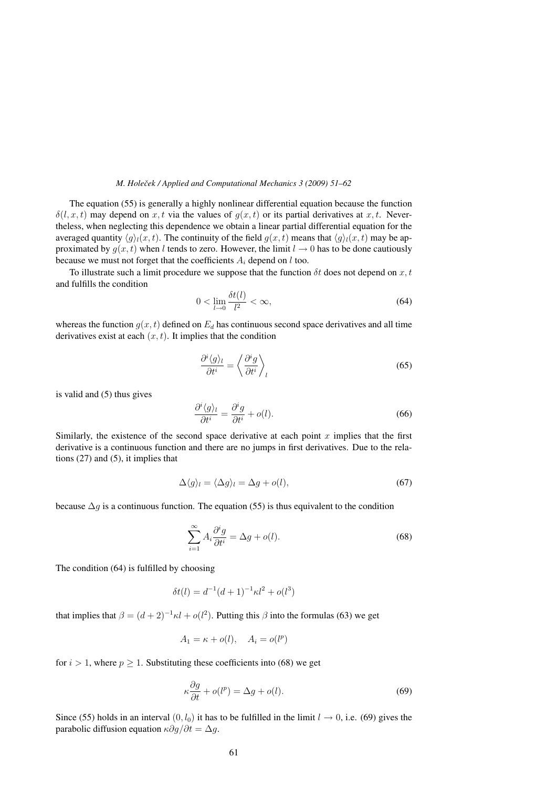The equation (55) is generally a highly nonlinear differential equation because the function  $\delta(l, x, t)$  may depend on x, t via the values of  $q(x, t)$  or its partial derivatives at x, t. Nevertheless, when neglecting this dependence we obtain a linear partial differential equation for the averaged quantity  $\langle q \rangle_i(x, t)$ . The continuity of the field  $q(x, t)$  means that  $\langle q \rangle_i(x, t)$  may be approximated by  $q(x, t)$  when l tends to zero. However, the limit  $l \to 0$  has to be done cautiously because we must not forget that the coefficients  $A_i$  depend on l too.

To illustrate such a limit procedure we suppose that the function  $\delta t$  does not depend on x, t and fulfills the condition

$$
0 < \lim_{l \to 0} \frac{\delta t(l)}{l^2} < \infty,\tag{64}
$$

whereas the function  $g(x, t)$  defined on  $E_d$  has continuous second space derivatives and all time derivatives exist at each  $(x, t)$ . It implies that the condition

$$
\frac{\partial^i \langle g \rangle_l}{\partial t^i} = \left\langle \frac{\partial^i g}{\partial t^i} \right\rangle_l \tag{65}
$$

is valid and (5) thus gives

$$
\frac{\partial^i \langle g \rangle_l}{\partial t^i} = \frac{\partial^i g}{\partial t^i} + o(l). \tag{66}
$$

Similarly, the existence of the second space derivative at each point  $x$  implies that the first derivative is a continuous function and there are no jumps in first derivatives. Due to the relations (27) and (5), it implies that

$$
\Delta \langle g \rangle_l = \langle \Delta g \rangle_l = \Delta g + o(l),\tag{67}
$$

because  $\Delta g$  is a continuous function. The equation (55) is thus equivalent to the condition

$$
\sum_{i=1}^{\infty} A_i \frac{\partial^i g}{\partial t^i} = \Delta g + o(l). \tag{68}
$$

The condition (64) is fulfilled by choosing

$$
\delta t(l) = d^{-1}(d+1)^{-1} \kappa l^2 + o(l^3)
$$

that implies that  $\beta = (d+2)^{-1} \kappa l + o(l^2)$ . Putting this  $\beta$  into the formulas (63) we get

$$
A_1 = \kappa + o(l), \quad A_i = o(l^p)
$$

for  $i > 1$ , where  $p \ge 1$ . Substituting these coefficients into (68) we get

$$
\kappa \frac{\partial g}{\partial t} + o(l^p) = \Delta g + o(l). \tag{69}
$$

Since (55) holds in an interval  $(0, l_0)$  it has to be fulfilled in the limit  $l \rightarrow 0$ , i.e. (69) gives the parabolic diffusion equation  $\kappa \partial g / \partial t = \Delta g$ .